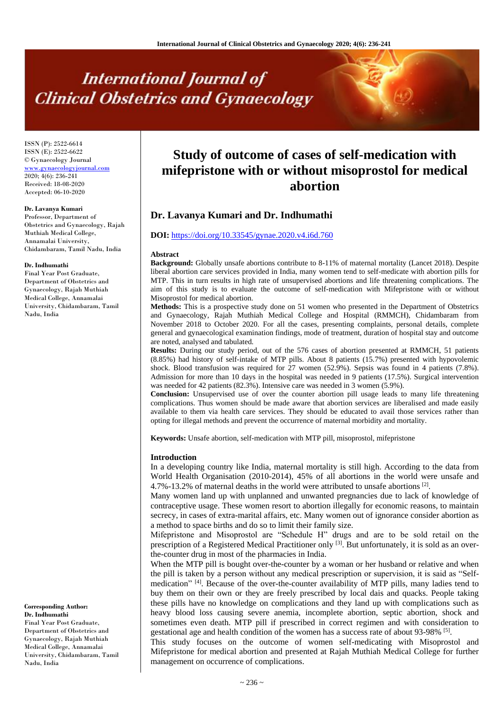# **International Journal of Clinical Obstetrics and Gynaecology**

ISSN (P): 2522-6614 ISSN (E): 2522-6622 © Gynaecology Journal [www.gynaecologyjournal.com](http://www.gynaecologyjournal.com/) 2020; 4(6): 236-241 Received: 18-08-2020 Accepted: 06-10-2020

# **Dr. Lavanya Kumari**

Professor, Department of Obstetrics and Gynaecology, Rajah Muthiah Medical College, Annamalai University, Chidambaram, Tamil Nadu, India

#### **Dr. Indhumathi**

Final Year Post Graduate, Department of Obstetrics and Gynaecology, Rajah Muthiah Medical College, Annamalai University, Chidambaram, Tamil Nadu, India

**Corresponding Author:**

**Dr. Indhumathi** Final Year Post Graduate, Department of Obstetrics and Gynaecology, Rajah Muthiah Medical College, Annamalai University, Chidambaram, Tamil Nadu, India

# **Study of outcome of cases of self-medication with mifepristone with or without misoprostol for medical abortion**

# **Dr. Lavanya Kumari and Dr. Indhumathi**

## **DOI:** <https://doi.org/10.33545/gynae.2020.v4.i6d.760>

#### **Abstract**

**Background:** Globally unsafe abortions contribute to 8-11% of maternal mortality (Lancet 2018). Despite liberal abortion care services provided in India, many women tend to self-medicate with abortion pills for MTP. This in turn results in high rate of unsupervised abortions and life threatening complications. The aim of this study is to evaluate the outcome of self-medication with Mifepristone with or without Misoprostol for medical abortion.

**Methods:** This is a prospective study done on 51 women who presented in the Department of Obstetrics and Gynaecology, Rajah Muthiah Medical College and Hospital (RMMCH), Chidambaram from November 2018 to October 2020. For all the cases, presenting complaints, personal details, complete general and gynaecological examination findings, mode of treatment, duration of hospital stay and outcome are noted, analysed and tabulated.

**Results:** During our study period, out of the 576 cases of abortion presented at RMMCH, 51 patients (8.85%) had history of self-intake of MTP pills. About 8 patients (15.7%) presented with hypovolemic shock. Blood transfusion was required for 27 women (52.9%). Sepsis was found in 4 patients (7.8%). Admission for more than 10 days in the hospital was needed in 9 patients (17.5%). Surgical intervention was needed for 42 patients (82.3%). Intensive care was needed in 3 women (5.9%).

**Conclusion:** Unsupervised use of over the counter abortion pill usage leads to many life threatening complications. Thus women should be made aware that abortion services are liberalised and made easily available to them via health care services. They should be educated to avail those services rather than opting for illegal methods and prevent the occurrence of maternal morbidity and mortality.

**Keywords:** Unsafe abortion, self-medication with MTP pill, misoprostol, mifepristone

#### **Introduction**

In a developing country like India, maternal mortality is still high. According to the data from World Health Organisation (2010-2014), 45% of all abortions in the world were unsafe and  $4.7\%$ -13.2% of maternal deaths in the world were attributed to unsafe abortions  $^{[2]}$ .

Many women land up with unplanned and unwanted pregnancies due to lack of knowledge of contraceptive usage. These women resort to abortion illegally for economic reasons, to maintain secrecy, in cases of extra-marital affairs, etc. Many women out of ignorance consider abortion as a method to space births and do so to limit their family size.

Mifepristone and Misoprostol are "Schedule H" drugs and are to be sold retail on the prescription of a Registered Medical Practitioner only  $^{[3]}$ . But unfortunately, it is sold as an overthe-counter drug in most of the pharmacies in India.

When the MTP pill is bought over-the-counter by a woman or her husband or relative and when the pill is taken by a person without any medical prescription or supervision, it is said as "Selfmedication" <sup>[4]</sup>. Because of the over-the-counter availability of MTP pills, many ladies tend to buy them on their own or they are freely prescribed by local dais and quacks. People taking these pills have no knowledge on complications and they land up with complications such as heavy blood loss causing severe anemia, incomplete abortion, septic abortion, shock and sometimes even death. MTP pill if prescribed in correct regimen and with consideration to gestational age and health condition of the women has a success rate of about 93-98% [5].

This study focuses on the outcome of women self-medicating with Misoprostol and Mifepristone for medical abortion and presented at Rajah Muthiah Medical College for further management on occurrence of complications.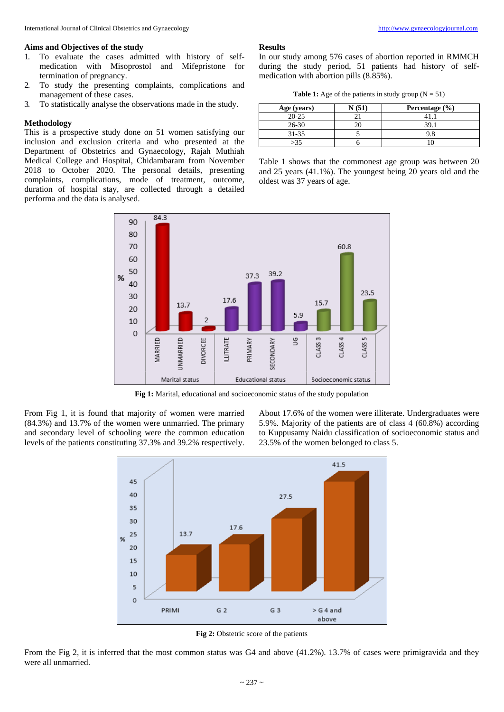#### **Aims and Objectives of the study**

- 1. To evaluate the cases admitted with history of selfmedication with Misoprostol and Mifepristone for termination of pregnancy.
- 2. To study the presenting complaints, complications and management of these cases.
- 3. To statistically analyse the observations made in the study.

# **Methodology**

This is a prospective study done on 51 women satisfying our inclusion and exclusion criteria and who presented at the Department of Obstetrics and Gynaecology, Rajah Muthiah Medical College and Hospital, Chidambaram from November 2018 to October 2020. The personal details, presenting complaints, complications, mode of treatment, outcome, duration of hospital stay, are collected through a detailed performa and the data is analysed.



**Fig 1:** Marital, educational and socioeconomic status of the study population

From Fig 1, it is found that majority of women were married (84.3%) and 13.7% of the women were unmarried. The primary and secondary level of schooling were the common education levels of the patients constituting 37.3% and 39.2% respectively.

About 17.6% of the women were illiterate. Undergraduates were 5.9%. Majority of the patients are of class 4 (60.8%) according to Kuppusamy Naidu classification of socioeconomic status and 23.5% of the women belonged to class 5.



**Fig 2:** Obstetric score of the patients

From the Fig 2, it is inferred that the most common status was G4 and above (41.2%). 13.7% of cases were primigravida and they were all unmarried.

#### **Results**

oldest was 37 years of age.

In our study among 576 cases of abortion reported in RMMCH during the study period, 51 patients had history of selfmedication with abortion pills (8.85%).

**Table 1:** Age of the patients in study group  $(N = 51)$ 

| Age (years) | Percentage $(\% )$ |
|-------------|--------------------|
| $20 - 25$   |                    |
| $26 - 30$   |                    |
| $31 - 35$   | 9.8                |
| -35         |                    |

Table 1 shows that the commonest age group was between 20 and 25 years (41.1%). The youngest being 20 years old and the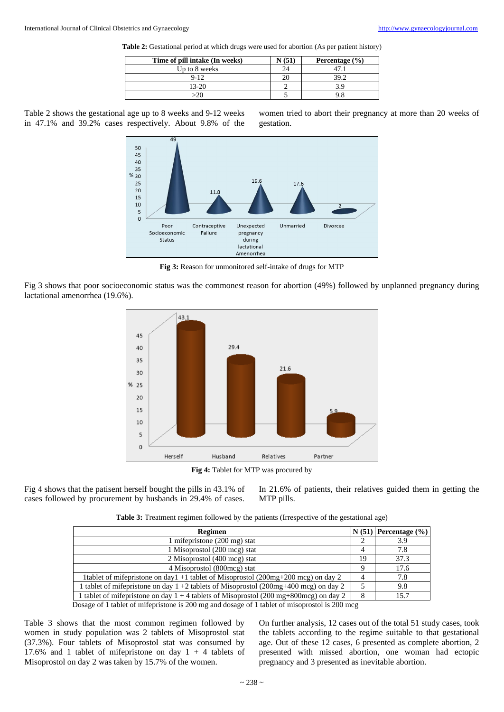**Table 2:** Gestational period at which drugs were used for abortion (As per patient history)

| Time of pill intake (In weeks) | Percentage $(\% )$ |
|--------------------------------|--------------------|
| Up to 8 weeks                  |                    |
| $9 - 12$                       | 39.2               |
| $13 - 20$                      |                    |
|                                |                    |

Table 2 shows the gestational age up to 8 weeks and 9-12 weeks in 47.1% and 39.2% cases respectively. About 9.8% of the



**Fig 3:** Reason for unmonitored self-intake of drugs for MTP

Fig 3 shows that poor socioeconomic status was the commonest reason for abortion (49%) followed by unplanned pregnancy during lactational amenorrhea (19.6%).



**Fig 4:** Tablet for MTP was procured by

Fig 4 shows that the patisent herself bought the pills in 43.1% of cases followed by procurement by husbands in 29.4% of cases. In 21.6% of patients, their relatives guided them in getting the MTP pills.

| Table 3: Treatment regimen followed by the patients (Irrespective of the gestational age) |  |  |  |  |
|-------------------------------------------------------------------------------------------|--|--|--|--|
|                                                                                           |  |  |  |  |

| 3.9               |
|-------------------|
| 7.8               |
| 37.3              |
| 17.6              |
| 7.8               |
| 9.8               |
| 15.7              |
| 4<br>19<br>Q<br>8 |

Dosage of 1 tablet of mifepristone is 200 mg and dosage of 1 tablet of misoprostol is 200 mcg

Table 3 shows that the most common regimen followed by women in study population was 2 tablets of Misoprostol stat (37.3%). Four tablets of Misoprostol stat was consumed by 17.6% and 1 tablet of mifepristone on day  $1 + 4$  tablets of Misoprostol on day 2 was taken by 15.7% of the women.

On further analysis, 12 cases out of the total 51 study cases, took the tablets according to the regime suitable to that gestational age. Out of these 12 cases, 6 presented as complete abortion, 2 presented with missed abortion, one woman had ectopic pregnancy and 3 presented as inevitable abortion.

women tried to abort their pregnancy at more than 20 weeks of gestation.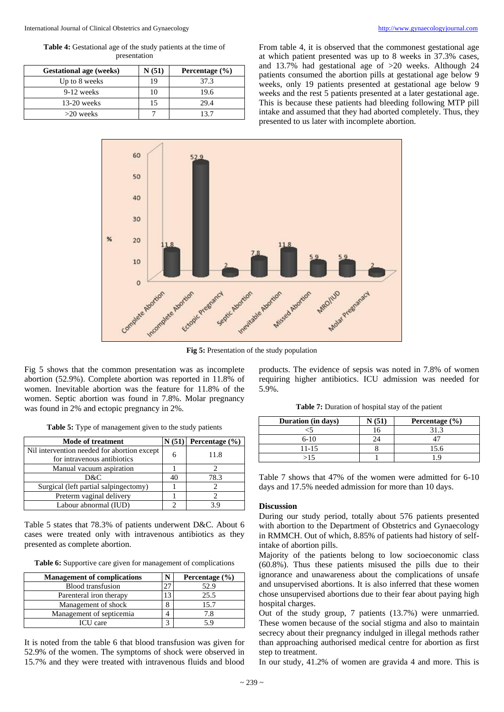**Table 4:** Gestational age of the study patients at the time of presentation

| <b>Gestational age (weeks)</b> | N(51) | Percentage $(\% )$ |
|--------------------------------|-------|--------------------|
| Up to 8 weeks                  | 19    | 37.3               |
| 9-12 weeks                     | 10    | 19.6               |
| $13-20$ weeks                  | 15    | 29.4               |
| $>20$ weeks                    |       | 13 7               |

From table 4, it is observed that the commonest gestational age at which patient presented was up to 8 weeks in 37.3% cases, and 13.7% had gestational age of >20 weeks. Although 24 patients consumed the abortion pills at gestational age below 9 weeks, only 19 patients presented at gestational age below 9 weeks and the rest 5 patients presented at a later gestational age. This is because these patients had bleeding following MTP pill intake and assumed that they had aborted completely. Thus, they presented to us later with incomplete abortion.



**Fig 5:** Presentation of the study population

Fig 5 shows that the common presentation was as incomplete abortion (52.9%). Complete abortion was reported in 11.8% of women. Inevitable abortion was the feature for 11.8% of the women. Septic abortion was found in 7.8%. Molar pregnancy was found in 2% and ectopic pregnancy in 2%.

|  | Table 5: Type of management given to the study patients |  |  |
|--|---------------------------------------------------------|--|--|
|  |                                                         |  |  |

| Mode of treatment                                                          | N(51) | Percentage $(\% )$ |
|----------------------------------------------------------------------------|-------|--------------------|
| Nil intervention needed for abortion except<br>for intravenous antibiotics | 6     | 11.8               |
| Manual vacuum aspiration                                                   |       |                    |
| D&C                                                                        | 40    | 78.3               |
| Surgical (left partial salping ectomy)                                     |       |                    |
| Preterm vaginal delivery                                                   |       |                    |
| Labour abnormal (IUD)                                                      |       | 3.9                |

Table 5 states that 78.3% of patients underwent D&C. About 6 cases were treated only with intravenous antibiotics as they presented as complete abortion.

**Table 6:** Supportive care given for management of complications

| <b>Management of complications</b> |            | Percentage $(\% )$ |
|------------------------------------|------------|--------------------|
| <b>Blood</b> transfusion           |            | 52.9               |
| Parenteral iron therapy            |            | 25.5               |
| Management of shock                | O          | 15.7               |
| Management of septicemia           |            | 7.8                |
| <b>ICU</b> care                    | $\sqrt{2}$ | 5 Q                |

It is noted from the table 6 that blood transfusion was given for 52.9% of the women. The symptoms of shock were observed in 15.7% and they were treated with intravenous fluids and blood products. The evidence of sepsis was noted in 7.8% of women requiring higher antibiotics. ICU admission was needed for 5.9%.

**Table 7:** Duration of hospital stay of the patient

| Duration (in days) | (51) | Percentage $(\% )$ |
|--------------------|------|--------------------|
|                    | n    |                    |
| $6-10$             |      |                    |
| 11-15              |      | 15.6               |
| >15                |      |                    |

Table 7 shows that 47% of the women were admitted for 6-10 days and 17.5% needed admission for more than 10 days.

#### **Discussion**

During our study period, totally about 576 patients presented with abortion to the Department of Obstetrics and Gynaecology in RMMCH. Out of which, 8.85% of patients had history of selfintake of abortion pills.

Majority of the patients belong to low socioeconomic class (60.8%). Thus these patients misused the pills due to their ignorance and unawareness about the complications of unsafe and unsupervised abortions. It is also inferred that these women chose unsupervised abortions due to their fear about paying high hospital charges.

Out of the study group, 7 patients (13.7%) were unmarried. These women because of the social stigma and also to maintain secrecy about their pregnancy indulged in illegal methods rather than approaching authorised medical centre for abortion as first step to treatment.

In our study, 41.2% of women are gravida 4 and more. This is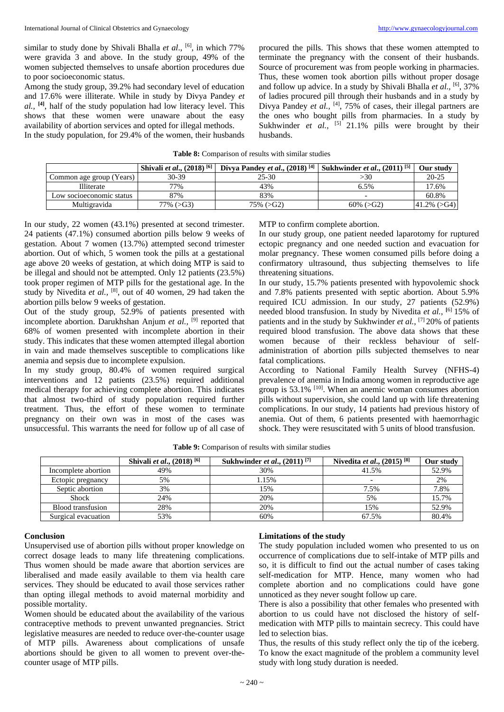similar to study done by Shivali Bhalla et al., <sup>[6]</sup>, in which 77% were gravida 3 and above. In the study group, 49% of the women subjected themselves to unsafe abortion procedures due to poor socioeconomic status.

Among the study group, 39.2% had secondary level of education and 17.6% were illiterate. While in study by Divya Pandey *et al.,* **[4]** , half of the study population had low literacy level. This shows that these women were unaware about the easy availability of abortion services and opted for illegal methods.

In the study population, for 29.4% of the women, their husbands

procured the pills. This shows that these women attempted to terminate the pregnancy with the consent of their husbands. Source of procurement was from people working in pharmacies. Thus, these women took abortion pills without proper dosage and follow up advice. In a study by Shivali Bhalla et al., <sup>[6]</sup>, 37% of ladies procured pill through their husbands and in a study by Divya Pandey *et al.*, <sup>[4]</sup>, 75% of cases, their illegal partners are the ones who bought pills from pharmacies. In a study by Sukhwinder et al., <sup>[5]</sup> 21.1% pills were brought by their husbands.

| Table 8: Comparison of results with similar studies |  |  |  |  |  |  |  |  |  |  |  |
|-----------------------------------------------------|--|--|--|--|--|--|--|--|--|--|--|
|-----------------------------------------------------|--|--|--|--|--|--|--|--|--|--|--|

|                          | Shivali et al., $(2018)^{6}$ | Divya Pandey et al., $(2018)^{[4]}$ | Sukhwinder <i>et al.</i> , $(2011)^{5}$ | Our study        |
|--------------------------|------------------------------|-------------------------------------|-----------------------------------------|------------------|
| Common age group (Years) | 30-39                        | 25-30                               | >30                                     | $20 - 25$        |
| Illiterate               | 77%                          | 43%                                 | 6.5%                                    | 17.6%            |
| Low socioeconomic status | 87%                          | 83%                                 |                                         | 60.8%            |
| Multigravida             | $77\%$ ( $\geq$ G3)          | $75\%$ ( $>G2$ )                    | $60\%$ ( $>G2$ )                        | $ 41.2\% $ (>G4) |

In our study, 22 women (43.1%) presented at second trimester. 24 patients (47.1%) consumed abortion pills below 9 weeks of gestation. About 7 women (13.7%) attempted second trimester abortion. Out of which, 5 women took the pills at a gestational age above 20 weeks of gestation, at which doing MTP is said to be illegal and should not be attempted. Only 12 patients (23.5%) took proper regimen of MTP pills for the gestational age. In the study by Nivedita et al., <sup>[8]</sup>, out of 40 women, 29 had taken the abortion pills below 9 weeks of gestation.

Out of the study group, 52.9% of patients presented with incomplete abortion. Darukhshan Anjum *et al.,* [9] reported that 68% of women presented with incomplete abortion in their study. This indicates that these women attempted illegal abortion in vain and made themselves susceptible to complications like anemia and sepsis due to incomplete expulsion.

In my study group, 80.4% of women required surgical interventions and 12 patients (23.5%) required additional medical therapy for achieving complete abortion. This indicates that almost two-third of study population required further treatment. Thus, the effort of these women to terminate pregnancy on their own was in most of the cases was unsuccessful. This warrants the need for follow up of all case of MTP to confirm complete abortion.

In our study group, one patient needed laparotomy for ruptured ectopic pregnancy and one needed suction and evacuation for molar pregnancy. These women consumed pills before doing a confirmatory ultrasound, thus subjecting themselves to life threatening situations.

In our study, 15.7% patients presented with hypovolemic shock and 7.8% patients presented with septic abortion. About 5.9% required ICU admission. In our study, 27 patients (52.9%) needed blood transfusion. In study by Nivedita *et al.,* **[**6] 15% of patients and in the study by Sukhwinder *et al.,* [7] 20% of patients required blood transfusion. The above data shows that these women because of their reckless behaviour of selfadministration of abortion pills subjected themselves to near fatal complications.

According to National Family Health Survey (NFHS-4) prevalence of anemia in India among women in reproductive age group is 53.1% [10] . When an anemic woman consumes abortion pills without supervision, she could land up with life threatening complications. In our study, 14 patients had previous history of anemia. Out of them, 6 patients presented with haemorrhagic shock. They were resuscitated with 5 units of blood transfusion.

|                     | Shivali et al., $(2018)^{\overline{[6]}}$ | <b>Sukhwinder <i>et al.</i></b> , $(2011)^{7}$ | Nivedita <i>et al.</i> , $(2015)^{8}$ | Our study |
|---------------------|-------------------------------------------|------------------------------------------------|---------------------------------------|-----------|
| Incomplete abortion | 49%                                       | 30%                                            | 41.5%                                 | 52.9%     |
| Ectopic pregnancy   | 5%                                        | 1.15%                                          | $\overline{\phantom{0}}$              | 2%        |
| Septic abortion     | 3%                                        | 15%                                            | 7.5%                                  | 7.8%      |
| <b>Shock</b>        | 24%                                       | 20%                                            | 5%                                    | 15.7%     |
| Blood transfusion   | 28%                                       | 20%                                            | 15%                                   | 52.9%     |
| Surgical evacuation | 53%                                       | 60%                                            | 67.5%                                 | 80.4%     |

**Table 9:** Comparison of results with similar studies

# **Conclusion**

Unsupervised use of abortion pills without proper knowledge on correct dosage leads to many life threatening complications. Thus women should be made aware that abortion services are liberalised and made easily available to them via health care services. They should be educated to avail those services rather than opting illegal methods to avoid maternal morbidity and possible mortality.

Women should be educated about the availability of the various contraceptive methods to prevent unwanted pregnancies. Strict legislative measures are needed to reduce over-the-counter usage of MTP pills. Awareness about complications of unsafe abortions should be given to all women to prevent over-thecounter usage of MTP pills.

#### **Limitations of the study**

The study population included women who presented to us on occurrence of complications due to self-intake of MTP pills and so, it is difficult to find out the actual number of cases taking self-medication for MTP. Hence, many women who had complete abortion and no complications could have gone unnoticed as they never sought follow up care.

There is also a possibility that other females who presented with abortion to us could have not disclosed the history of selfmedication with MTP pills to maintain secrecy. This could have led to selection bias.

Thus, the results of this study reflect only the tip of the iceberg. To know the exact magnitude of the problem a community level study with long study duration is needed.